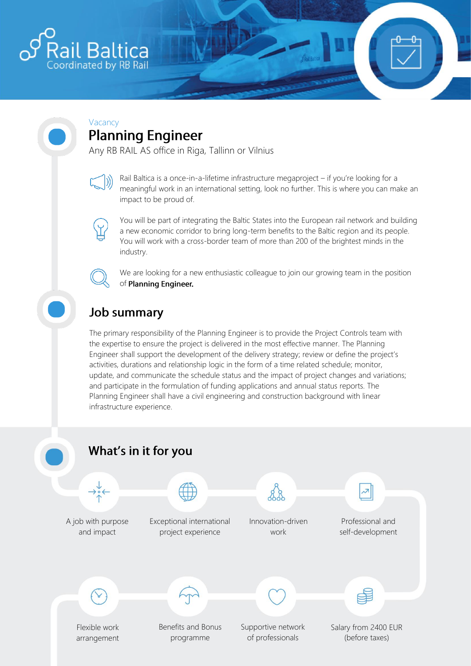

#### Vacancy **Planning Engineer**

Any RB RAIL AS office in Riga, Tallinn or Vilnius

Rail Baltica is a once-in-a-lifetime infrastructure megaproject – if you're looking for a meaningful work in an international setting, look no further. This is where you can make an impact to be proud of.

You will be part of integrating the Baltic States into the European rail network and building a new economic corridor to bring long-term benefits to the Baltic region and its people. You will work with a cross-border team of more than 200 of the brightest minds in the industry.

We are looking for a new enthusiastic colleague to join our growing team in the position of Planning Engineer.

# **Job summary**

The primary responsibility of the Planning Engineer is to provide the Project Controls team with the expertise to ensure the project is delivered in the most effective manner. The Planning Engineer shall support the development of the delivery strategy; review or define the project's activities, durations and relationship logic in the form of a time related schedule; monitor, update, and communicate the schedule status and the impact of project changes and variations; and participate in the formulation of funding applications and annual status reports. The Planning Engineer shall have a civil engineering and construction background with linear infrastructure experience.